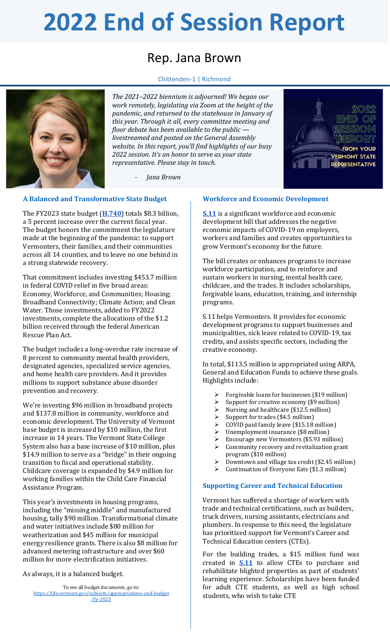# **2022 End of Session Report**

## Rep. Jana Brown

Chittenden-1 | Richmond



*The 2021–2022 biennium is adjourned! We began our work remotely, legislating via Zoom at the height of the pandemic, and returned to the statehouse in January of this year. Through it all, every committee meeting and floor debate has been available to the public livestreamed and posted on the General Assembly website. In this report, you'll find highlights of our busy 2022 session. It's an honor to serve as your state representative. Please stay in touch.*

- *Jana Brown*

#### **A Balanced and Transformative State Budget**

The FY2023 state budget (**[H.740](https://ljfo.vermont.gov/subjects/appropriations-and-budget/fy-2023)**) totals \$8.3 billion, a 5 percent increase over the current fiscal year. The budget honors the commitment the legislature made at the beginning of the pandemic: to support Vermonters, their families, and their communities across all 14 counties, and to leave no one behind in a strong statewide recovery.

That commitment includes investing \$453.7 million in federal COVID relief in five broad areas: Economy, Workforce, and Communities; Housing; Broadband Connectivity; Climate Action; and Clean Water. Those investments, added to FY2022 investments, complete the allocations of the \$1.2 billion received through the federal American Rescue Plan Act.

The budget includes a long-overdue rate increase of 8 percent to community mental health providers, designated agencies, specialized service agencies, and home health care providers. And it provides millions to support substance abuse disorder prevention and recovery.

We're investing \$96 million in broadband projects and \$137.8 million in community, workforce and economic development. The University of Vermont base budget is increased by \$10 million, the first increase in 14 years. The Vermont State College System also has a base increase of \$10 million, plus \$14.9 million to serve as a "bridge" in their ongoing transition to fiscal and operational stability. Childcare coverage is expanded by \$4.9 million for working families within the Child Care Financial Assistance Program.

This year's investments in housing programs, including the "missing middle" and manufactured housing, tally \$90 million. Transformational climate and water initiatives include \$80 million for weatherization and \$45 million for municipal energy resilience grants. There is also \$8 million for advanced metering infrastructure and over \$60 million for more electrification initiatives.

As always, it is a balanced budget.

To see all budget documents, go to: [https://ljfo.vermont.gov/subjects/appropriations-and-budget](https://ljfo.vermont.gov/subjects/appropriations-and-budget/fy-2023) [/fy-2023](https://ljfo.vermont.gov/subjects/appropriations-and-budget/fy-2023)

#### **Workforce and Economic Development**

**[S.11](https://legislature.vermont.gov/bill/status/2022/S.11)** is a significant workforce and economic development bill that addresses the negative economic impacts of COVID-19 on employers, workers and families and creates opportunities to grow Vermont's economy for the future.

**VERMONT STATE REPRESENTATIVE** 

The bill creates or enhances programs to increase workforce participation, and to reinforce and sustain workers in nursing, mental health care, childcare, and the trades. It includes scholarships, forgivable loans, education, training, and internship programs.

S.11 helps Vermonters. It provides for economic development programs to support businesses and municipalities, sick leave related to COVID-19, tax credits, and assists specific sectors, including the creative economy.

In total, \$113.5 million is appropriated using ARPA, General and Education Funds to achieve these goals. Highlights include:

- Forgivable loans for businesses (\$19 million)
- $\geq$  Support for creative economy (\$9 million)<br> $\geq$  Nursing and healthcare (\$12.5 million)
- Nursing and healthcare (\$12.5 million)
- $\triangleright$  Support for trades (\$4.5 million)
- $\geq$  COVID paid family leave (\$15.18 million)<br> $\geq$  Unemployment insurance (\$8 million)
- Unemployment insurance (\$8 million)
- ➢ Encourage new Vermonters (\$5.93 million)  $\triangleright$  Community recovery and revitalization grant
- program (\$10 million)
- ➢ Downtown and village tax credit (\$2.45 million)
- ➢ Continuation of Everyone Eats (\$1.3 million)

#### **Supporting Career and Technical Education**

Vermont has suffered a shortage of workers with trade and technical certifications, such as builders, truck drivers, nursing assistants, electricians and plumbers. In response to this need, the legislature has prioritized support for Vermont's Career and Technical Education centers (CTEs).

For the building trades, a \$15 million fund was created in **[S.11](https://legislature.vermont.gov/bill/status/2022/S.11)** to allow CTEs to purchase and rehabilitate blighted properties as part of students' learning experience. Scholarships have been funded for adult CTE students, as well as high school students, who wish to take CTE